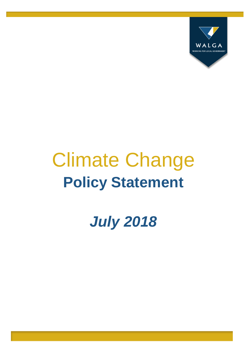

# Climate Change **Policy Statement**

*July 2018*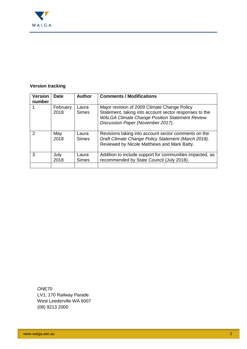

## **Version tracking**

| <b>Version</b><br>number | <b>Date</b>      | <b>Author</b>         | <b>Comments / Modifications</b>                                                                                                                                                                      |
|--------------------------|------------------|-----------------------|------------------------------------------------------------------------------------------------------------------------------------------------------------------------------------------------------|
|                          | February<br>2018 | Laura<br><b>Simes</b> | Major revision of 2009 Climate Change Policy<br>Statement, taking into account sector responses to the<br><b>WALGA Climate Change Position Statement Review</b><br>Discussion Paper (November 2017). |
| $\mathcal{P}$            | May<br>2018      | Laura<br><b>Simes</b> | Revisions taking into account sector comments on the<br>Draft Climate Change Policy Statement (March 2018).<br>Reviewed by Nicole Matthews and Mark Batty.                                           |
| 3                        | July<br>2018     | Laura<br><b>Simes</b> | Addition to include support for communities impacted, as<br>recommended by State Council (July 2018).                                                                                                |
|                          |                  |                       |                                                                                                                                                                                                      |

ONE70 LV1, 170 Railway Parade West Leederville WA 6007 (08) 9213 2000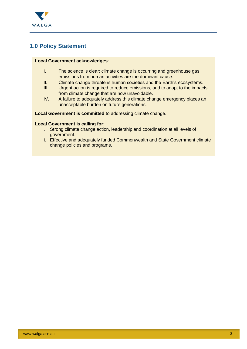

# **1.0 Policy Statement**

#### **Local Government acknowledges**:

- I. The science is clear: climate change is occurring and greenhouse gas emissions from human activities are the dominant cause.
- II. Climate change threatens human societies and the Earth's ecosystems.
- III. Urgent action is required to reduce emissions, and to adapt to the impacts from climate change that are now unavoidable.
- IV. A failure to adequately address this climate change emergency places an unacceptable burden on future generations.

**Local Government is committed** to addressing climate change.

#### **Local Government is calling for:**

- I. Strong climate change action, leadership and coordination at all levels of government.
- II. Effective and adequately funded Commonwealth and State Government climate change policies and programs.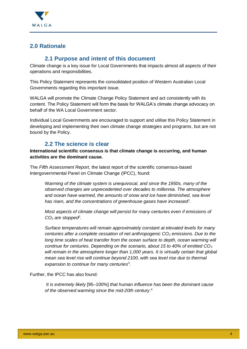

# **2.0 Rationale**

### **2.1 Purpose and intent of this document**

Climate change is a key issue for Local Governments that impacts almost all aspects of their operations and responsibilities.

This Policy Statement represents the consolidated position of Western Australian Local Governments regarding this important issue.

WALGA will promote the Climate Change Policy Statement and act consistently with its content. The Policy Statement will form the basis for WALGA's climate change advocacy on behalf of the WA Local Government sector.

Individual Local Governments are encouraged to support and utilise this Policy Statement in developing and implementing their own climate change strategies and programs, but are not bound by the Policy.

# **2.2 The science is clear**

**International scientific consensus is that climate change is occurring, and human activities are the dominant cause.**

The *Fifth Assessment Report*, the latest report of the scientific consensus-based Intergovernmental Panel on Climate Change (IPCC), found:

W*arming of the climate system is unequivocal, and since the 1950s, many of the observed changes are unprecedented over decades to millennia. The atmosphere and ocean have warmed, the amounts of snow and ice have diminished, sea level has risen, and the concentrations of greenhouse gases have increased<sup>1</sup> .*

*Most aspects of climate change will persist for many centuries even if emissions of CO<sup>2</sup> are stopped<sup>2</sup> .*

*Surface temperatures will remain approximately constant at elevated levels for many centuries after a complete cessation of net anthropogenic CO<sup>2</sup> emissions. Due to the long time scales of heat transfer from the ocean surface to depth, ocean warming will continue for centuries. Depending on the scenario, about 15 to 40% of emitted CO<sup>2</sup> will remain in the atmosphere longer than 1,000 years. It is virtually certain that global mean sea level rise will continue beyond 2100, with sea level rise due to thermal expansion to continue for many centuries<sup>3</sup> .*

Further, the IPCC has also found:

*It is extremely likely* [95–100%] *that human influence has been the dominant cause of the observed warming since the mid-20th century*. 4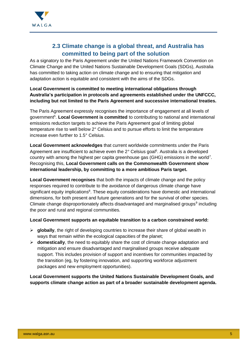

# **2.3 Climate change is a global threat, and Australia has committed to being part of the solution**

As a signatory to the Paris Agreement under the United Nations Framework Convention on Climate Change and the United Nations Sustainable Development Goals (SDGs), Australia has committed to taking action on climate change and to ensuring that mitigation and adaptation action is equitable and consistent with the aims of the SDGs.

#### **Local Government is committed to meeting international obligations through Australia's participation in protocols and agreements established under the UNFCCC, including but not limited to the Paris Agreement and successive international treaties.**

The Paris Agreement expressly recognises the importance of engagement at all levels of government<sup>5</sup>. Local Government is committed to contributing to national and international emissions reduction targets to achieve the Paris Agreement goal of limiting global temperature rise to well below 2° Celsius and to pursue efforts to limit the temperature increase even further to 1.5° Celsius.

**Local Government acknowledges** that current worldwide commitments under the Paris Agreement are insufficient to achieve even the 2° Celsius goal<sup>6</sup>. Australia is a developed country with among the highest per capita greenhouse gas (GHG) emissions in the world<sup>7</sup>. Recognising this, **Local Government calls on the Commonwealth Government show international leadership, by committing to a more ambitious Paris target.**

**Local Government recognises** that both the impacts of climate change and the policy responses required to contribute to the avoidance of dangerous climate change have significant equity implications<sup>8</sup>. These equity considerations have domestic and international dimensions, for both present and future generations and for the survival of other species. Climate change disproportionately affects disadvantaged and marginalised groups<sup>9</sup> including the poor and rural and regional communities.

#### **Local Government supports an equitable transition to a carbon constrained world:**

- **globally**, the right of developing countries to increase their share of global wealth in ways that remain within the ecological capacities of the planet;
- **domestically**, the need to equitably share the cost of climate change adaptation and mitigation and ensure disadvantaged and marginalised groups receive adequate support. This includes provision of support and incentives for communities impacted by the transition (eg, by fostering innovation, and supporting workforce adjustment packages and new employment opportunities).

**Local Government supports the United Nations Sustainable Development Goals, and supports climate change action as part of a broader sustainable development agenda.**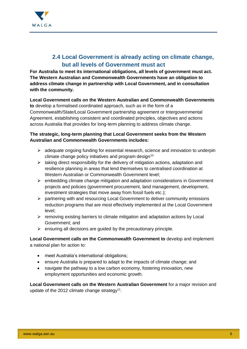

# **2.4 Local Government is already acting on climate change, but all levels of Government must act**

**For Australia to meet its international obligations, all levels of government must act. The Western Australian and Commonwealth Governments have an obligation to address climate change in partnership with Local Government, and in consultation with the community.**

#### **Local Government calls on the Western Australian and Commonwealth Governments to** develop a formalised coordinated approach, such as in the form of a Commonwealth/State/Local Government partnership agreement or Intergovernmental Agreement, establishing consistent and coordinated principles, objectives and actions across Australia that provides for long-term planning to address climate change.

#### **The strategic, long-term planning that Local Government seeks from the Western Australian and Commonwealth Governments includes:**

- $\triangleright$  adequate ongoing funding for essential research, science and innovation to underpin climate change policy initiatives and program design $10$
- $\triangleright$  taking direct responsibility for the delivery of mitigation actions, adaptation and resilience planning in areas that lend themselves to centralised coordination at Western Australian or Commonwealth Government level;
- $\triangleright$  embedding climate change mitigation and adaptation considerations in Government projects and policies (government procurement, land management, development, investment strategies that move away from fossil fuels etc.);
- $\triangleright$  partnering with and resourcing Local Government to deliver community emissions reduction programs that are most effectively implemented at the Local Government level;
- $\triangleright$  removing existing barriers to climate mitigation and adaptation actions by Local Government; and
- $\triangleright$  ensuring all decisions are guided by the precautionary principle.

**Local Government calls on the Commonwealth Government to** develop and implement a national plan for action to:

- meet Australia's international obligations;
- ensure Australia is prepared to adapt to the impacts of climate change; and
- navigate the pathway to a low carbon economy, fostering innovation, new employment opportunities and economic growth.

**Local Government calls on the Western Australian Government** for a major revision and update of the 2012 climate change strategy<sup>11</sup>.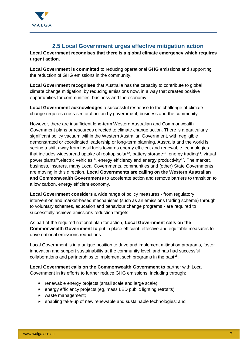

# **2.5 Local Government urges effective mitigation action**

**Local Government recognises that there is a global climate emergency which requires urgent action.** 

**Local Government is committed** to reducing operational GHG emissions and supporting the reduction of GHG emissions in the community.

**Local Government recognises** that Australia has the capacity to contribute to global climate change mitigation, by reducing emissions now, in a way that creates positive opportunities for communities, business and the economy.

**Local Government acknowledges** a successful response to the challenge of climate change requires cross-sectoral action by government, business and the community.

However, there are insufficient long-term Western Australian and Commonwealth Government plans or resources directed to climate change action. There is a particularly significant policy vacuum within the Western Australian Government, with negligible demonstrated or coordinated leadership or long-term planning. Australia and the world is seeing a shift away from fossil fuels towards energy efficient and renewable technologies that includes widespread uptake of rooftop solar<sup>12</sup>, battery storage<sup>13</sup>, energy trading<sup>14</sup>, virtual power plants<sup>15</sup>, electric vehicles<sup>16</sup>, energy efficiency and energy productivity<sup>17</sup>. The market, business, insurers, many Local Governments, communities and (other) State Governments are moving in this direction**. Local Governments are calling on the Western Australian and Commonwealth Governments** to accelerate action and remove barriers to transition to a low carbon, energy efficient economy.

**Local Government considers** a wide range of policy measures - from regulatory intervention and market-based mechanisms (such as an emissions trading scheme) through to voluntary schemes, education and behaviour change programs - are required to successfully achieve emissions reduction targets.

As part of the required national plan for action, **Local Government calls on the Commonwealth Government to** put in place efficient, effective and equitable measures to drive national emissions reductions.

Local Government is in a unique position to drive and implement mitigation programs, foster innovation and support sustainability at the community level, and has had successful collaborations and partnerships to implement such programs in the past<sup>18</sup>.

**Local Government calls on the Commonwealth Government to** partner with Local Government in its efforts to further reduce GHG emissions, including through:

- $\triangleright$  renewable energy projects (small scale and large scale);
- $\triangleright$  energy efficiency projects (eg, mass LED public lighting retrofits);
- $\triangleright$  waste management;
- $\triangleright$  enabling take-up of new renewable and sustainable technologies; and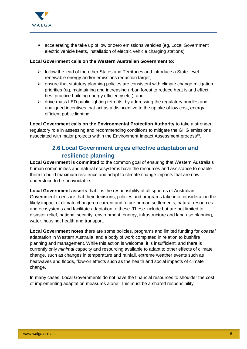

 $\triangleright$  accelerating the take up of low or zero emissions vehicles (eg. Local Government electric vehicle fleets, installation of electric vehicle charging stations).

#### **Local Government calls on the Western Australian Government to:**

- $\geq$  follow the lead of the other States and Territories and introduce a State-level renewable energy and/or emissions reduction target;
- $\triangleright$  ensure that statutory planning policies are consistent with climate change mitigation priorities (eg, maintaining and increasing urban forest to reduce heat island effect, best practice building energy efficiency etc.); and
- $\triangleright$  drive mass LED public lighting retrofits, by addressing the regulatory hurdles and unaligned incentives that act as a disincentive to the uptake of low cost, energy efficient public lighting.

**Local Government calls on the Environmental Protection Authority** to take a stronger regulatory role in assessing and recommending conditions to mitigate the GHG emissions associated with major projects within the Environment Impact Assessment process<sup>19</sup>.

# **2.6 Local Government urges effective adaptation and resilience planning**

**Local Government is committed** to the common goal of ensuring that Western Australia's human communities and natural ecosystems have the resources and assistance to enable them to build maximum resilience and adapt to climate change impacts that are now understood to be unavoidable.

**Local Government asserts** that it is the responsibility of all spheres of Australian Government to ensure that their decisions, policies and programs take into consideration the likely impact of climate change on current and future human settlements, natural resources and ecosystems and facilitate adaptation to these. These include but are not limited to disaster relief, national security, environment, energy, infrastructure and land use planning, water, housing, health and transport.

**Local Government notes** there are some policies, programs and limited funding for *coastal* adaptation in Western Australia, and a body of work completed in relation to bushfire planning and management. While this action is welcome, it is insufficient, and there is currently only *minimal* capacity and resourcing available to adapt to other effects of climate change, such as changes in temperature and rainfall, extreme weather events such as heatwaves and floods, flow-on effects such as the health and social impacts of climate change.

In many cases, Local Governments do not have the financial resources to shoulder the cost of implementing adaptation measures alone. This must be a shared responsibility.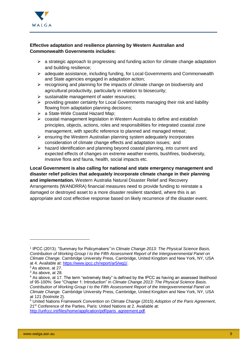

#### **Effective adaptation and resilience planning by Western Australian and Commonwealth Governments includes:**

- $\triangleright$  a strategic approach to progressing and funding action for climate change adaptation and building resilience;
- adequate assistance, including funding, for Local Governments and Commonwealth and State agencies engaged in adaptation action;
- $\triangleright$  recognising and planning for the impacts of climate change on biodiversity and agricultural productivity, particularly in relation to biosecurity;
- $\triangleright$  sustainable management of water resources:
- $\triangleright$  providing greater certainty for Local Governments managing their risk and liability flowing from adaptation planning decisions;
- a State-Wide Coastal Hazard Map;
- coastal management legislation in Western Australia to define and establish principles, objects, actions, roles and responsibilities for integrated coastal zone management, with specific reference to planned and managed retreat;
- $\triangleright$  ensuring the Western Australian planning system adequately incorporates consideration of climate change effects and adaptation issues; and
- $\triangleright$  hazard identification and planning beyond coastal planning, into current and expected effects of changes on extreme weather events, bushfires, biodiversity, invasive flora and fauna, health, social impacts etc.

**Local Government is also calling for national and state emergency management and disaster relief policies that adequately incorporate climate change in their planning and implementation.** Western Australia Natural Disaster Relief and Recovery Arrangements (WANDRRA) financial measures need to provide funding to reinstate a damaged or destroyed asset to a more disaster resilient standard, where this is an appropriate and cost effective response based on likely recurrence of the disaster event.

-

<sup>1</sup> IPCC (2013). "Summary for Policymakers*"* in *Climate Change 2013: The Physical Science Basis. Contribution of Working Group I to the Fifth Assessment Report of the Intergovernmental Panel on Climate Change.* Cambridge University Press, Cambridge, United Kingdom and New York, NY, USA at 4. Available at: [https://www.ipcc.ch/report/ar5/wg1/.](https://www.ipcc.ch/report/ar5/wg1/)

<sup>2</sup> As above, at 27.

<sup>&</sup>lt;sup>3</sup> As above, at 28.

<sup>4</sup> As above, at 17. The term "extremely likely" is defined by the IPCC as having an assessed likelihood of 95-100%: See "Chapter 1: Introduction" in *Climate Change 2013: The Physical Science Basis. Contribution of Working Group I to the Fifth Assessment Report of the Intergovernmental Panel on Climate Change.* Cambridge University Press, Cambridge, United Kingdom and New York, NY, USA at 121 (footnote 2).

<sup>5</sup> United Nations Framework Convention on Climate Change (2015) *Adoption of the Paris Agreement*, 21<sup>st</sup> Conference of the Parties, Paris: United Nations at 2. Available at: [http://unfccc.int/files/home/application/pdf/paris\\_agreement.pdf.](http://unfccc.int/files/home/application/pdf/paris_agreement.pdf)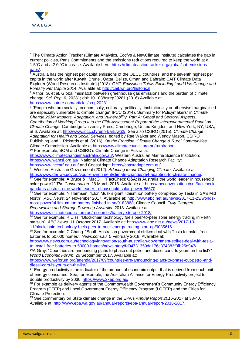

-

<sup>6</sup> The Climate Action Tracker (Climate Analytics, Ecofys & NewClimate Institute) calculates the gap in current policies, Paris Commitments and the emissions reductions required to keep the world at a 1.5˚C and a 2.0 ˚C increase. Available here: [https://climateactiontracker.org/global/cat-emissions](https://climateactiontracker.org/global/cat-emissions-gaps/)[gaps/.](https://climateactiontracker.org/global/cat-emissions-gaps/)

 $\frac{7}{7}$  Australia has the highest per capita emissions of the OECD countries, and the seventh highest per capita in the world after Kuwait, Brunei, Qatar, Belize, Oman and Bahrain: CAIT Climate Data Explorer (World Resources Institute) (2018). *GHG Emissions Totals Excluding Land Use Change and Forestry Per Capita 2014*. Available at[: http://cait.wri.org/historical.](http://cait.wri.org/historical)

8 Althor. G. et al. Global mismatch between greenhouse gas emissions and the burden of climate change. *Sci. Rep*. 6, 20281; doi: 10.1038/srep20281 (2016).Available at: [https://www.nature.com/articles/srep20281.](https://www.nature.com/articles/srep20281)

<sup>9</sup> "People who are socially, economically, culturally, politically, institutionally or otherwise marginalised are especially vulnerable to climate change" IPCC (2014). Summary for Policymakers" in *Climate Change 2014: Impacts, Adaptation, and Vulnerability. Part A: Global and Sectoral Aspects. Contribution of Working Group II to the Fifth Assessment Report of the Intergovernmental Panel on Climate Change*. Cambridge University Press, Cambridge, United Kingdom and New York, NY, USA, at 6. Available at[: http://www.ipcc.ch/report/ar5/wg2/.](http://www.ipcc.ch/report/ar5/wg2/) See also CSIRO (2015). *Climate Change Adaptation for Health and Social Services*, edited by Rae Walker and Wendy Mason. CSIRO Publishing, and L Rickards et al. (2016). *On the Frontline: Climate Change & Rural Communities.*  Climate Commission. Available at [https://www.climatecouncil.org.au/ruralreport.](https://www.climatecouncil.org.au/ruralreport)

<sup>10</sup> For example, BOM and CSIRO's Climate Change in Australia:

[https://www.climatechangeinaustralia.gov.au/,](https://www.climatechangeinaustralia.gov.au/) Western Australian Marine Science Institution: [https://www.wamsi.org.au/,](https://www.wamsi.org.au/) National Climate Change Adaptation Research Facility: <https://www.nccarf.edu.au/> and CoastAdapt: [https://coastadapt.com.au/.](https://coastadapt.com.au/)

<sup>11</sup> Western Australian Government (2012). *Adapting to our Changing Climate*. Available at: [https://www.der.wa.gov.au/your-environment/climate-change/254-adapting-to-climate-change.](https://www.der.wa.gov.au/your-environment/climate-change/254-adapting-to-climate-change)

<sup>12</sup> See for example: A Bruce & I MacGill. "FactCheck Q&A: is Australia the world leader in household solar power?" *The Conversation.* 28 March 2016. Available at: [https://theconversation.com/factcheck](https://theconversation.com/factcheck-qanda-is-australia-the-world-leader-in-household-solar-power-56670)[qanda-is-australia-the-world-leader-in-household-solar-power-56670.](https://theconversation.com/factcheck-qanda-is-australia-the-world-leader-in-household-solar-power-56670)

<sup>13</sup> See for example: N Harmsen. "Elon Musk's giant lithium ion battery completed by Tesla in SA's Mid North". *ABC News.* 24 November 2017. Available at: [http://www.abc.net.au/news/2017-11-23/worlds](http://www.abc.net.au/news/2017-11-23/worlds-most-powerful-lithium-ion-battery-finished-in-sa/9183868)[most-powerful-lithium-ion-battery-finished-in-sa/9183868;](http://www.abc.net.au/news/2017-11-23/worlds-most-powerful-lithium-ion-battery-finished-in-sa/9183868) Climate Council. *Fully Charged: Renewables and Storage Powering Australia.* 2018. Available at:

[https://www.climatecouncil.org.au/resources/battery-storage-2018/.](https://www.climatecouncil.org.au/resources/battery-storage-2018/)

<sup>14</sup> See for example: K Diss, "Blockchain technology fuels peer-to-peer solar energy trading in Perth start-up". *ABC News*. 11 October 2017. Available at: [http://www.abc.net.au/news/2017-10-](http://www.abc.net.au/news/2017-10-11/blockchain-technology-fuels-peer-to-peer-energy-trading-start-up/9035616) [11/blockchain-technology-fuels-peer-to-peer-energy-trading-start-up/9035616.](http://www.abc.net.au/news/2017-10-11/blockchain-technology-fuels-peer-to-peer-energy-trading-start-up/9035616)

<sup>15</sup> See for example: C Chang. "South Australian government strikes deal with Tesla to install free batteries to 50,000 homes". *News.com.au.* 5 February 2018. Available at:

[http://www.news.com.au/technology/innovation/south-australian-government-strikes-deal-with-tesla](http://www.news.com.au/technology/innovation/south-australian-government-strikes-deal-with-tesla-to-install-free-batteries-to-50000-homes/news-story/fd04731350da176c374383f3fb25e947/)[to-install-free-batteries-to-50000-homes/news-story/fd04731350da176c374383f3fb25e947/.](http://www.news.com.au/technology/innovation/south-australian-government-strikes-deal-with-tesla-to-install-free-batteries-to-50000-homes/news-story/fd04731350da176c374383f3fb25e947/)

<sup>16</sup>A Gray. "Countries are announcing plans to phase out petrol and diesel cars. Is yours on the list?" *World Economic Forum*. 26 September 2017. Available at:

[https://www.weforum.org/agenda/2017/09/countries-are-announcing-plans-to-phase-out-petrol-and](https://www.weforum.org/agenda/2017/09/countries-are-announcing-plans-to-phase-out-petrol-and-diesel-cars-is-yours-on-the-list/)[diesel-cars-is-yours-on-the-list/.](https://www.weforum.org/agenda/2017/09/countries-are-announcing-plans-to-phase-out-petrol-and-diesel-cars-is-yours-on-the-list/)

 $17$  Energy productivity is an indicator of the amount of economic output that is derived from each unit of energy consumed. See, for example, the Australian Alliance for Energy Productivity project to double productivity by 2030: [https://www.2xep.org.au/.](https://www.2xep.org.au/)

<sup>18</sup> For example as delivery agents of the Commonwealth Government's Community Energy Efficiency Program (CEEP) and Local Government Energy Efficiency Program (LGEEP) and the Cities for Climate Protection.

<sup>19</sup> See commentary on State climate change in the EPA's *Annual Report 2016-2017* at 38-40. Available at: [http://www.epa.wa.gov.au/annual-reports/epa-annual-report-2016-2017.](http://www.epa.wa.gov.au/annual-reports/epa-annual-report-2016-2017)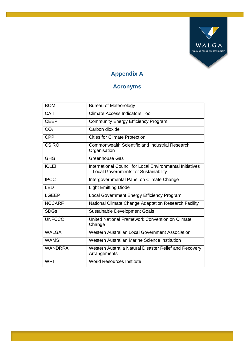

# **Appendix A**

# **Acronyms**

| <b>BOM</b>      | <b>Bureau of Meteorology</b>                                                                        |
|-----------------|-----------------------------------------------------------------------------------------------------|
| CAIT            | <b>Climate Access Indicators Tool</b>                                                               |
| <b>CEEP</b>     | <b>Community Energy Efficiency Program</b>                                                          |
| CO <sub>2</sub> | Carbon dioxide                                                                                      |
| <b>CPP</b>      | <b>Cities for Climate Protection</b>                                                                |
| <b>CSIRO</b>    | <b>Commonwealth Scientific and Industrial Research</b><br>Organisation                              |
| <b>GHG</b>      | <b>Greenhouse Gas</b>                                                                               |
| <b>ICLEI</b>    | International Council for Local Environmental Initiatives<br>- Local Governments for Sustainability |
| <b>IPCC</b>     | Intergovernmental Panel on Climate Change                                                           |
| <b>LED</b>      | <b>Light Emitting Diode</b>                                                                         |
| <b>LGEEP</b>    | Local Government Energy Efficiency Program                                                          |
| <b>NCCARF</b>   | National Climate Change Adaptation Research Facility                                                |
| <b>SDGs</b>     | Sustainable Development Goals                                                                       |
| <b>UNFCCC</b>   | United National Framework Convention on Climate<br>Change                                           |
| <b>WALGA</b>    | <b>Western Australian Local Government Association</b>                                              |
| <b>WAMSI</b>    | Western Australian Marine Science Institution                                                       |
| <b>WANDRRA</b>  | Western Australia Natural Disaster Relief and Recovery<br>Arrangements                              |
| <b>WRI</b>      | <b>World Resources Institute</b>                                                                    |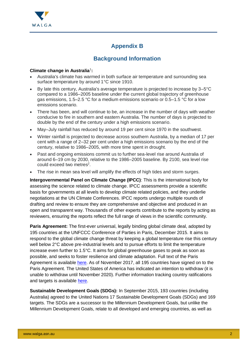

# **Appendix B**

# **Background Information**

#### **Climate change in Australia**<sup>1</sup> **:**

- Australia's climate has warmed in both surface air temperature and surrounding sea surface temperature by around 1°C since 1910.
- By late this century, Australia's average temperature is projected to increase by 3–5°C compared to a 1986–2005 baseline under the current global trajectory of greenhouse gas emissions, 1.5–2.5 °C for a medium emissions scenario or 0.5–1.5 °C for a low emissions scenario.
- There has been, and will continue to be, an increase in the number of days with weather conducive to fire in southern and eastern Australia. The number of days is projected to double by the end of the century under a high emissions scenario.
- May–July rainfall has reduced by around 19 per cent since 1970 in the southwest.
- Winter rainfall is projected to decrease across southern Australia, by a median of 17 per cent with a range of 2–32 per cent under a high emissions scenario by the end of the century, relative to 1986–2005, with more time spent in drought.
- Past and ongoing emissions commit us to further sea-level rise around Australia of around 6–19 cm by 2030, relative to the 1986–2005 baseline. By 2100, sea level rise could exceed two metres<sup>2</sup>.
- The rise in mean sea level will amplify the effects of high tides and storm surges.

**Intergovernmental Panel on Climate Change (IPCC)**: This is the international body for assessing the science related to climate change. IPCC assessments provide a scientific basis for governments at all levels to develop climate related policies, and they underlie negotiations at the UN Climate Conferences. IPCC reports undergo multiple rounds of drafting and review to ensure they are comprehensive and objective and produced in an open and transparent way. Thousands of other experts contribute to the reports by acting as reviewers, ensuring the reports reflect the full range of views in the scientific community.

Paris Agreement: The first-ever universal, legally binding global climate deal, adopted by 195 countries at the UNFCCC Conference of Parties in Paris, December 2015. It aims to respond to the global climate change threat by keeping a global temperature rise this century well below 2°C above pre-industrial levels and to pursue efforts to limit the temperature increase even further to 1.5°C. It aims for global greenhouse gases to peak as soon as possible, and seeks to foster resilience and climate adaptation. Full text of the Paris Agreement is available [here.](http://unfccc.int/files/home/application/pdf/paris_agreement.pdf) As of November 2017, all 195 countries have signed on to the Paris Agreement. The United States of America has indicated an intention to withdraw (it is unable to withdraw until November 2020). Further information tracking country ratifications and targets is available [here.](http://cait.wri.org/indc/)

**Sustainable Development Goals (SDGs):** In September 2015, 193 countries (including Australia) agreed to the United Nations 17 Sustainable Development Goals (SDGs) and 169 targets. The SDGs are a successor to the Millennium Development Goals, but unlike the Millennium Development Goals, relate to all developed and emerging countries, as well as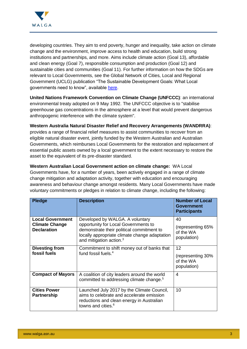

developing countries. They aim to end poverty, hunger and inequality, take action on climate change and the environment, improve access to health and education, build strong institutions and partnerships, and more. Aims include climate action (Goal 13), affordable and clean energy (Goal 7), responsible consumption and production (Goal 12) and sustainable cities and communities (Goal 11). For further information on how the SDGs are relevant to Local Governments, see the Global Network of Cities, Local and Regional Government (UCLG) publication "The Sustainable Development Goals: What Local governments need to know", available [here.](https://www.uclg.org/en/media/news/sustainable-development-goals-what-local-governments-need-know)

**United Nations Framework Convention on Climate Change (UNFCCC)**: an international environmental treaty adopted on 9 May 1992. The UNFCCC objective is to "stabilise greenhouse gas concentrations in the atmosphere at a level that would prevent dangerous anthropogenic interference with the climate system".

**Western Australia Natural Disaster Relief and Recovery Arrangements (WANDRRA)**: provides a range of financial relief measures to assist communities to recover from an eligible natural disaster event, jointly funded by the Western Australian and Australian Governments, which reimburses Local Governments for the restoration and replacement of essential public assets owned by a local government to the extent necessary to restore the asset to the equivalent of its pre-disaster standard.

**Western Australian Local Government action on climate change:** WA Local Governments have, for a number of years, been actively engaged in a range of climate change mitigation and adaptation activity, together with education and encouraging awareness and behaviour change amongst residents. Many Local Governments have made voluntary commitments or pledges in relation to climate change, including the following:

| <b>Pledge</b>                                                          | <b>Description</b>                                                                                                                                                                                           | <b>Number of Local</b><br><b>Government</b><br><b>Participants</b> |
|------------------------------------------------------------------------|--------------------------------------------------------------------------------------------------------------------------------------------------------------------------------------------------------------|--------------------------------------------------------------------|
| <b>Local Government</b><br><b>Climate Change</b><br><b>Declaration</b> | Developed by WALGA. A voluntary<br>opportunity for Local Governments to<br>demonstrate their political commitment to<br>locally appropriate climate change adaptation<br>and mitigation action. <sup>3</sup> | 40<br>(representing 65%<br>of the WA<br>population)                |
| <b>Divesting from</b><br>fossil fuels                                  | Commitment to shift money out of banks that<br>fund fossil fuels. <sup>4</sup>                                                                                                                               | 12<br>(representing 30%<br>of the WA<br>population)                |
| <b>Compact of Mayors</b>                                               | A coalition of city leaders around the world<br>committed to addressing climate change. <sup>5</sup>                                                                                                         | 4                                                                  |
| <b>Cities Power</b><br><b>Partnership</b>                              | Launched July 2017 by the Climate Council,<br>aims to celebrate and accelerate emission<br>reductions and clean energy in Australian<br>towns and cities. <sup>6</sup>                                       | 10                                                                 |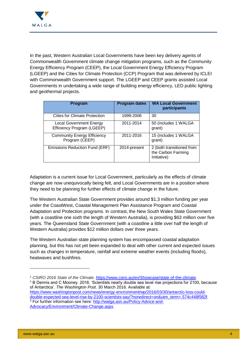

In the past, Western Australian Local Governments have been key delivery agents of Commonwealth Government climate change mitigation programs, such as the Community Energy Efficiency Program (CEEP), the Local Government Energy Efficiency Program (LGEEP) and the Cities for Climate Protection (CCP) Program that was delivered by ICLEI with Commonwealth Government support. The LGEEP and CEEP grants assisted Local Governments in undertaking a wide range of building energy efficiency, LED public lighting and geothermal projects.

| Program                                                      | <b>Program dates</b> | <b>WA Local Government</b><br>participants                     |
|--------------------------------------------------------------|----------------------|----------------------------------------------------------------|
| <b>Cities for Climate Protection</b>                         | 1999-2006            | 30                                                             |
| <b>Local Government Energy</b><br>Efficiency Program (LGEEP) | 2011-2014            | 50 (includes 1 WALGA<br>grant)                                 |
| <b>Community Energy Efficiency</b><br>Program (CEEP)         | 2011-2016            | 15 (includes 1 WALGA<br>grant)                                 |
| Emissions Reduction Fund (ERF)                               | 2014-present         | 2 (both transitioned from<br>the Carbon Farming<br>Initiative) |

Adaptation is a current issue for Local Government, particularly as the effects of climate change are now unequivocally being felt, and Local Governments are in a position where they need to be planning for further effects of climate change in the future.

The Western Australian State Government provides around \$1.3 million funding per year under the CoastWest, Coastal Management Plan Assistance Program and Coastal Adaptation and Protection programs. In contrast, the New South Wales State Government (with a coastline one sixth the length of Western Australia), is providing \$63 million over five years. The Queensland State Government (with a coastline a little over half the length of Western Australia) provides \$12 million dollars over three years.

The Western Australian state planning system has encompassed coastal adaptation planning, but this has not yet been expanded to deal with other current and expected issues such as changes in temperature, rainfall and extreme weather events (including floods), heatwaves and bushfires.

<sup>2</sup> B Dennis and C Mooney. 2016. 'Scientists nearly double sea level rise projections for 2100, because of Antarctica'. *The Washington Post*. 30 March 2016. Available at: [https://www.washingtonpost.com/news/energy-environment/wp/2016/03/30/antarctic-loss-could-](https://www.washingtonpost.com/news/energy-environment/wp/2016/03/30/antarctic-loss-could-double-expected-sea-level-rise-by-2100-scientists-say/?noredirect=on&utm_term=.574c448f582f)

[double-expected-sea-level-rise-by-2100-scientists-say/?noredirect=on&utm\\_term=.574c448f582f.](https://www.washingtonpost.com/news/energy-environment/wp/2016/03/30/antarctic-loss-could-double-expected-sea-level-rise-by-2100-scientists-say/?noredirect=on&utm_term=.574c448f582f)

<sup>3</sup> For further information see here: [http://walga.asn.au/Policy-Advice-and-](http://walga.asn.au/Policy-Advice-and-Advocacy/Environment/Climate-Change.aspx)[Advocacy/Environment/Climate-Change.aspx.](http://walga.asn.au/Policy-Advice-and-Advocacy/Environment/Climate-Change.aspx)

-

<sup>1</sup> *CSIRO 2016 State of the Climate.* [https://www.csiro.au/en/Showcase/state-of-the-climate.](https://www.csiro.au/en/Showcase/state-of-the-climate)